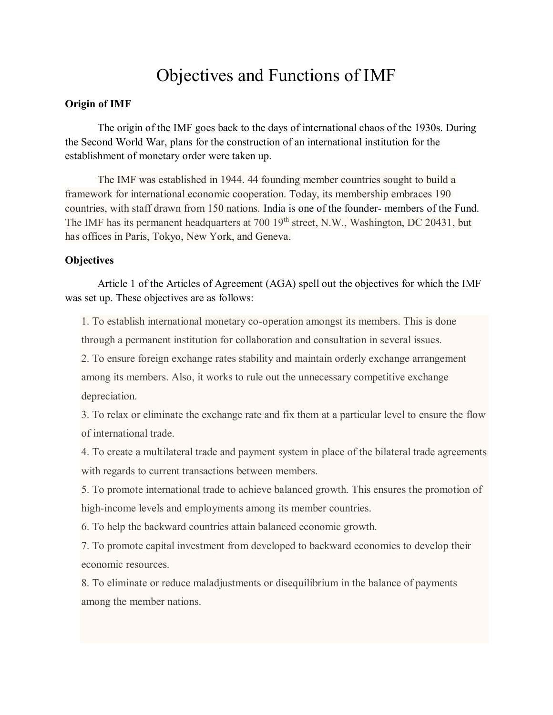## Objectives and Functions of IMF

## **Origin of IMF**

The origin of the IMF goes back to the days of international chaos of the 1930s. During the Second World War, plans for the construction of an international institution for the establishment of monetary order were taken up.

The IMF was established in 1944. 44 founding member countries sought to build a framework for international economic cooperation. Today, its membership embraces 190 countries, with staff drawn from 150 nations. India is one of the founder- members of the Fund. The IMF has its permanent headquarters at 700 19<sup>th</sup> street, N.W., Washington, DC 20431, but has offices in Paris, Tokyo, New York, and Geneva.

## **Objectives**

Article 1 of the Articles of Agreement (AGA) spell out the objectives for which the IMF was set up. These objectives are as follows:

1. To establish international monetary co-operation amongst its members. This is done through a permanent institution for collaboration and consultation in several issues.

2. To ensure foreign exchange rates stability and maintain orderly exchange arrangement among its members. Also, it works to rule out the unnecessary competitive exchange depreciation.

3. To relax or eliminate the exchange rate and fix them at a particular level to ensure the flow of international trade.

4. To create a multilateral trade and payment system in place of the bilateral trade agreements with regards to current transactions between members.

5. To promote international trade to achieve balanced growth. This ensures the promotion of high-income levels and employments among its member countries.

6. To help the backward countries attain balanced economic growth.

7. To promote capital investment from developed to backward economies to develop their economic resources.

8. To eliminate or reduce maladjustments or disequilibrium in the balance of payments among the member nations.